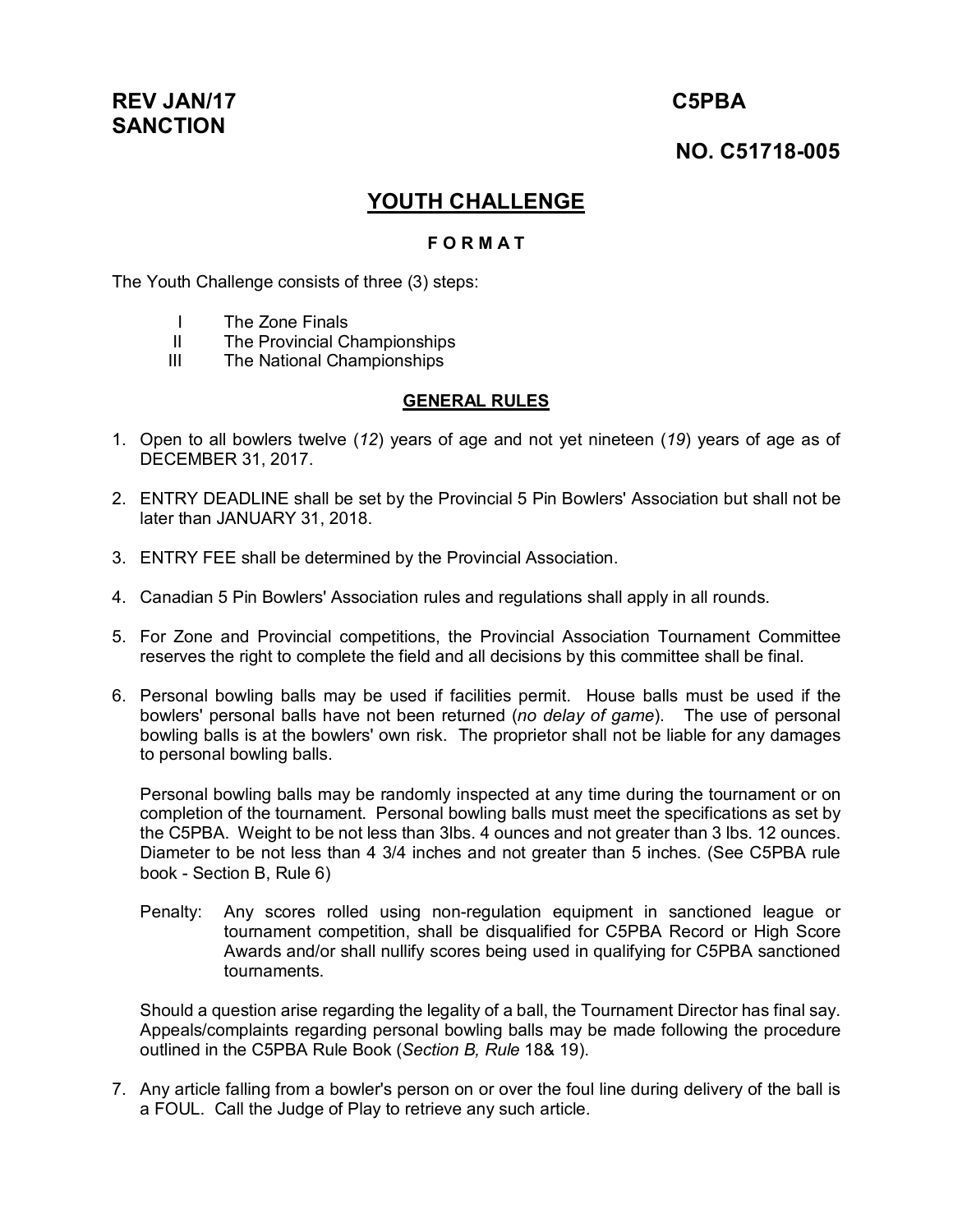# **REV JAN/17 C5PBA SANCTION**

## **NO. C51718-005**

## **YOUTH CHALLENGE**

#### **F O R M A T**

The Youth Challenge consists of three (3) steps:

- I The Zone Finals
- II The Provincial Championships
- III The National Championships

#### **GENERAL RULES**

- 1. Open to all bowlers twelve (*12*) years of age and not yet nineteen (*19*) years of age as of DECEMBER 31, 2017.
- 2. ENTRY DEADLINE shall be set by the Provincial 5 Pin Bowlers' Association but shall not be later than JANUARY 31, 2018.
- 3. ENTRY FEE shall be determined by the Provincial Association.
- 4. Canadian 5 Pin Bowlers' Association rules and regulations shall apply in all rounds.
- 5. For Zone and Provincial competitions, the Provincial Association Tournament Committee reserves the right to complete the field and all decisions by this committee shall be final.
- 6. Personal bowling balls may be used if facilities permit. House balls must be used if the bowlers' personal balls have not been returned (*no delay of game*). The use of personal bowling balls is at the bowlers' own risk. The proprietor shall not be liable for any damages to personal bowling balls.

Personal bowling balls may be randomly inspected at any time during the tournament or on completion of the tournament. Personal bowling balls must meet the specifications as set by the C5PBA. Weight to be not less than 3lbs. 4 ounces and not greater than 3 lbs. 12 ounces. Diameter to be not less than 4 3/4 inches and not greater than 5 inches. (See C5PBA rule book - Section B, Rule 6)

Penalty: Any scores rolled using non-regulation equipment in sanctioned league or tournament competition, shall be disqualified for C5PBA Record or High Score Awards and/or shall nullify scores being used in qualifying for C5PBA sanctioned tournaments.

Should a question arise regarding the legality of a ball, the Tournament Director has final say. Appeals/complaints regarding personal bowling balls may be made following the procedure outlined in the C5PBA Rule Book (*Section B, Rule* 18& 19).

7. Any article falling from a bowler's person on or over the foul line during delivery of the ball is a FOUL. Call the Judge of Play to retrieve any such article.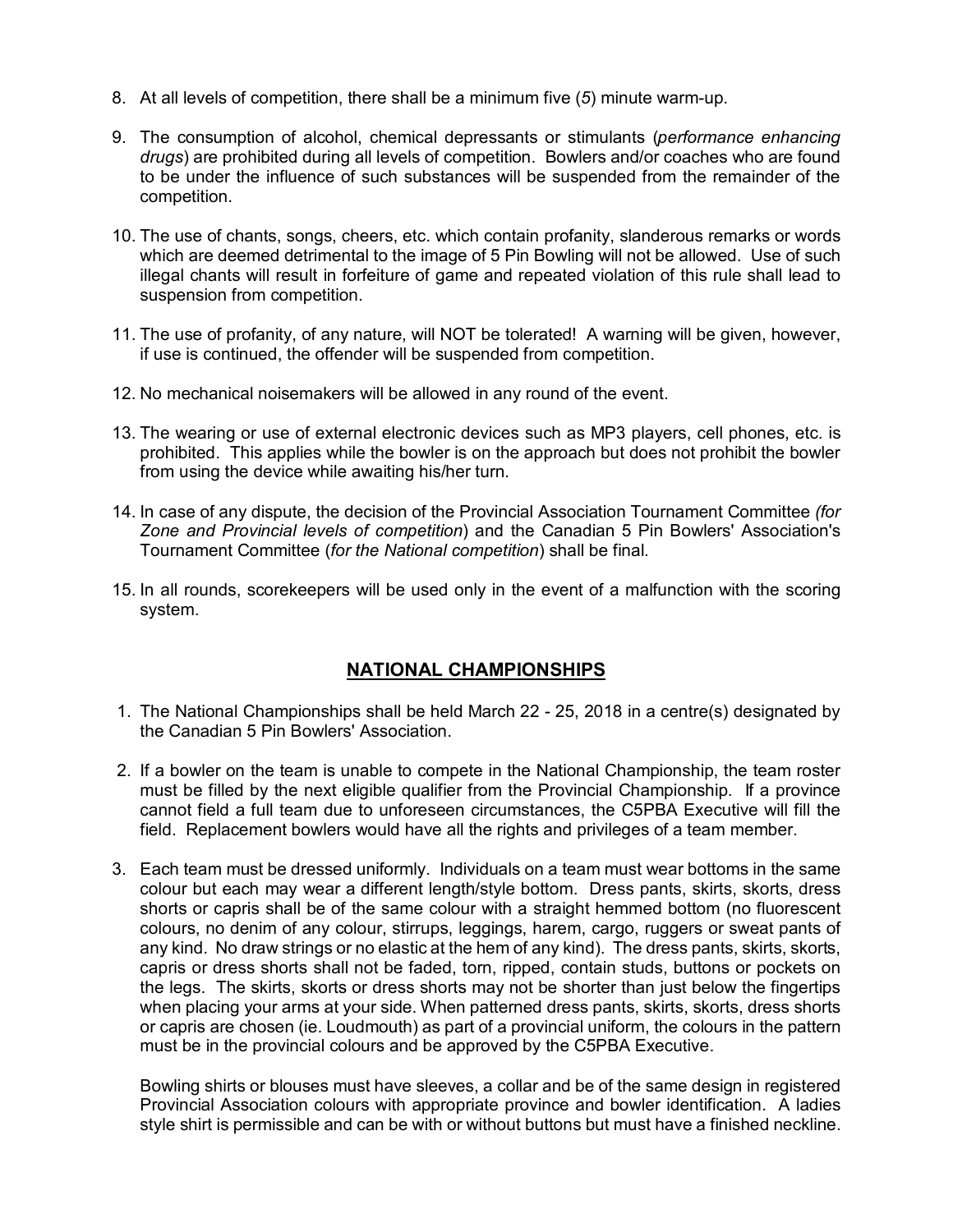- 8. At all levels of competition, there shall be a minimum five (*5*) minute warm-up.
- 9. The consumption of alcohol, chemical depressants or stimulants (*performance enhancing drugs*) are prohibited during all levels of competition. Bowlers and/or coaches who are found to be under the influence of such substances will be suspended from the remainder of the competition.
- 10. The use of chants, songs, cheers, etc. which contain profanity, slanderous remarks or words which are deemed detrimental to the image of 5 Pin Bowling will not be allowed. Use of such illegal chants will result in forfeiture of game and repeated violation of this rule shall lead to suspension from competition.
- 11. The use of profanity, of any nature, will NOT be tolerated! A warning will be given, however, if use is continued, the offender will be suspended from competition.
- 12. No mechanical noisemakers will be allowed in any round of the event.
- 13. The wearing or use of external electronic devices such as MP3 players, cell phones, etc. is prohibited. This applies while the bowler is on the approach but does not prohibit the bowler from using the device while awaiting his/her turn.
- 14. In case of any dispute, the decision of the Provincial Association Tournament Committee *(for Zone and Provincial levels of competition*) and the Canadian 5 Pin Bowlers' Association's Tournament Committee (*for the National competition*) shall be final.
- 15. In all rounds, scorekeepers will be used only in the event of a malfunction with the scoring system.

### **NATIONAL CHAMPIONSHIPS**

- 1. The National Championships shall be held March 22 25, 2018 in a centre(s) designated by the Canadian 5 Pin Bowlers' Association.
- 2. If a bowler on the team is unable to compete in the National Championship, the team roster must be filled by the next eligible qualifier from the Provincial Championship. If a province cannot field a full team due to unforeseen circumstances, the C5PBA Executive will fill the field. Replacement bowlers would have all the rights and privileges of a team member.
- 3. Each team must be dressed uniformly. Individuals on a team must wear bottoms in the same colour but each may wear a different length/style bottom. Dress pants, skirts, skorts, dress shorts or capris shall be of the same colour with a straight hemmed bottom (no fluorescent colours, no denim of any colour, stirrups, leggings, harem, cargo, ruggers or sweat pants of any kind. No draw strings or no elastic at the hem of any kind). The dress pants, skirts, skorts, capris or dress shorts shall not be faded, torn, ripped, contain studs, buttons or pockets on the legs. The skirts, skorts or dress shorts may not be shorter than just below the fingertips when placing your arms at your side. When patterned dress pants, skirts, skorts, dress shorts or capris are chosen (ie. Loudmouth) as part of a provincial uniform, the colours in the pattern must be in the provincial colours and be approved by the C5PBA Executive.

Bowling shirts or blouses must have sleeves, a collar and be of the same design in registered Provincial Association colours with appropriate province and bowler identification. A ladies style shirt is permissible and can be with or without buttons but must have a finished neckline.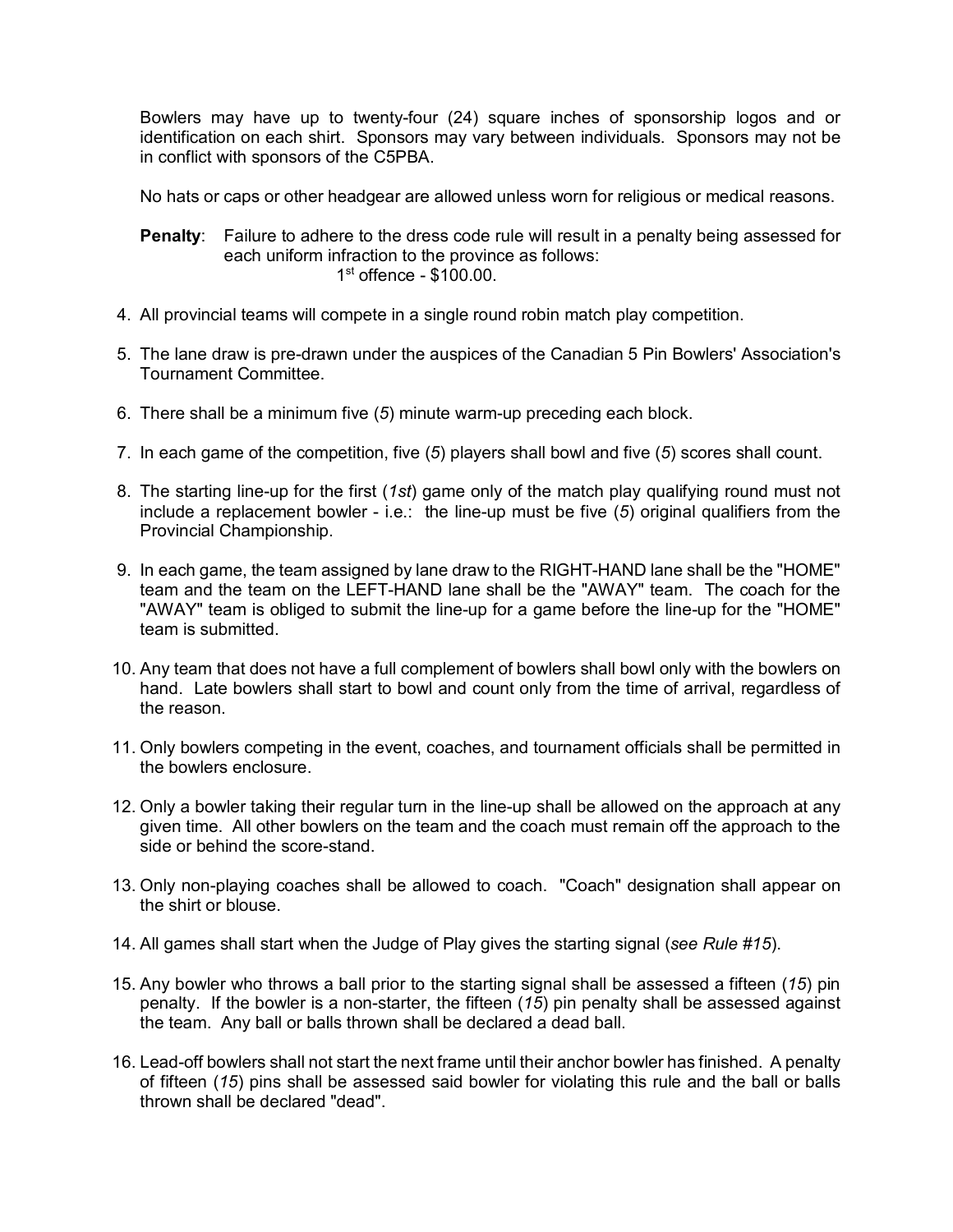Bowlers may have up to twenty-four (24) square inches of sponsorship logos and or identification on each shirt. Sponsors may vary between individuals. Sponsors may not be in conflict with sponsors of the C5PBA.

No hats or caps or other headgear are allowed unless worn for religious or medical reasons.

#### **Penalty**: Failure to adhere to the dress code rule will result in a penalty being assessed for each uniform infraction to the province as follows: 1 st offence - \$100.00.

- 4. All provincial teams will compete in a single round robin match play competition.
- 5. The lane draw is pre-drawn under the auspices of the Canadian 5 Pin Bowlers' Association's Tournament Committee.
- 6. There shall be a minimum five (*5*) minute warm-up preceding each block.
- 7. In each game of the competition, five (*5*) players shall bowl and five (*5*) scores shall count.
- 8. The starting line-up for the first (*1st*) game only of the match play qualifying round must not include a replacement bowler - i.e.: the line-up must be five (*5*) original qualifiers from the Provincial Championship.
- 9. In each game, the team assigned by lane draw to the RIGHT-HAND lane shall be the "HOME" team and the team on the LEFT-HAND lane shall be the "AWAY" team. The coach for the "AWAY" team is obliged to submit the line-up for a game before the line-up for the "HOME" team is submitted.
- 10. Any team that does not have a full complement of bowlers shall bowl only with the bowlers on hand. Late bowlers shall start to bowl and count only from the time of arrival, regardless of the reason.
- 11. Only bowlers competing in the event, coaches, and tournament officials shall be permitted in the bowlers enclosure.
- 12. Only a bowler taking their regular turn in the line-up shall be allowed on the approach at any given time. All other bowlers on the team and the coach must remain off the approach to the side or behind the score-stand.
- 13. Only non-playing coaches shall be allowed to coach. "Coach" designation shall appear on the shirt or blouse.
- 14. All games shall start when the Judge of Play gives the starting signal (*see Rule #15*).
- 15. Any bowler who throws a ball prior to the starting signal shall be assessed a fifteen (*15*) pin penalty. If the bowler is a non-starter, the fifteen (*15*) pin penalty shall be assessed against the team. Any ball or balls thrown shall be declared a dead ball.
- 16. Lead-off bowlers shall not start the next frame until their anchor bowler has finished. A penalty of fifteen (*15*) pins shall be assessed said bowler for violating this rule and the ball or balls thrown shall be declared "dead".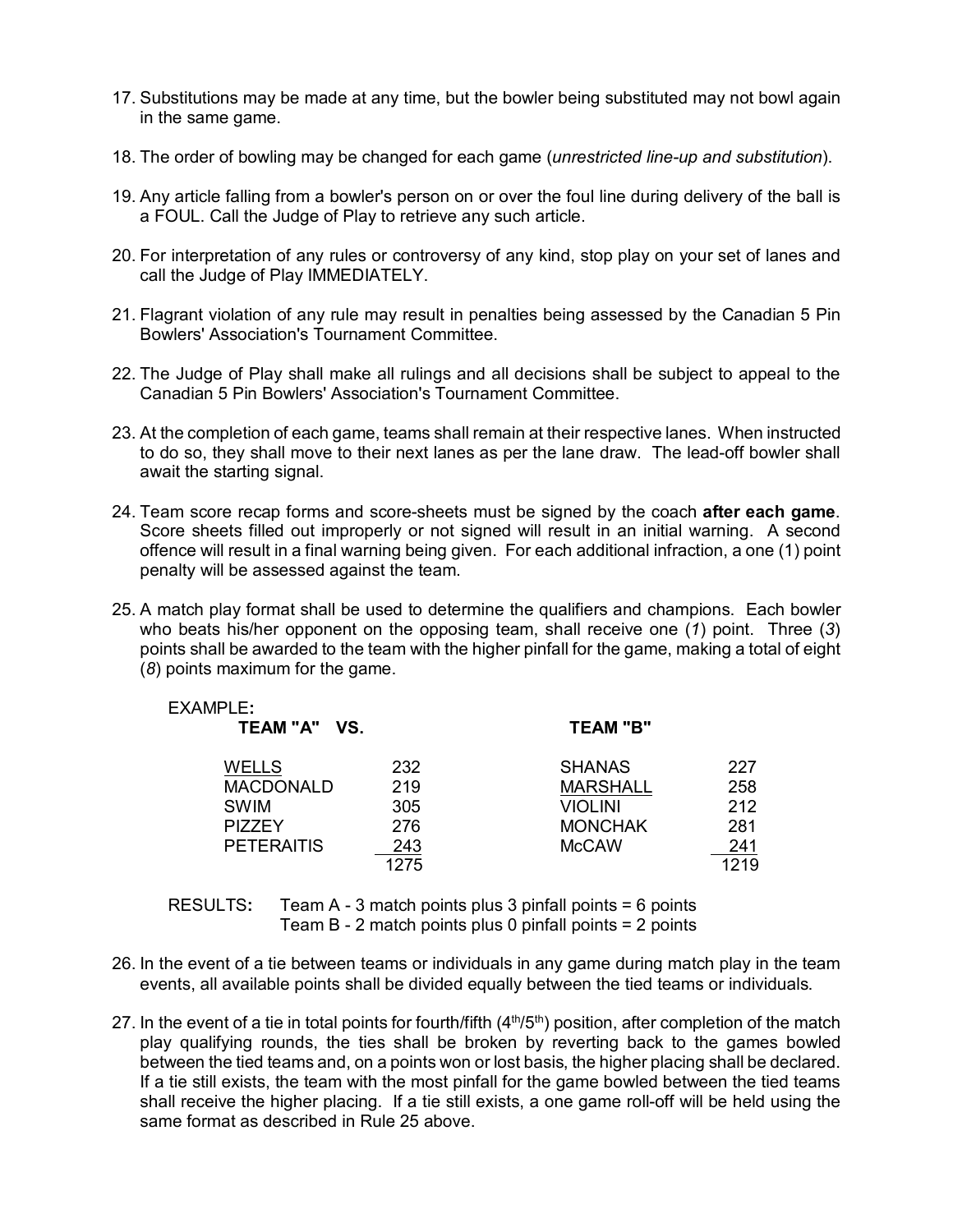- 17. Substitutions may be made at any time, but the bowler being substituted may not bowl again in the same game.
- 18. The order of bowling may be changed for each game (*unrestricted line-up and substitution*).
- 19. Any article falling from a bowler's person on or over the foul line during delivery of the ball is a FOUL. Call the Judge of Play to retrieve any such article.
- 20. For interpretation of any rules or controversy of any kind, stop play on your set of lanes and call the Judge of Play IMMEDIATELY.
- 21. Flagrant violation of any rule may result in penalties being assessed by the Canadian 5 Pin Bowlers' Association's Tournament Committee.
- 22. The Judge of Play shall make all rulings and all decisions shall be subject to appeal to the Canadian 5 Pin Bowlers' Association's Tournament Committee.
- 23. At the completion of each game, teams shall remain at their respective lanes. When instructed to do so, they shall move to their next lanes as per the lane draw. The lead-off bowler shall await the starting signal.
- 24. Team score recap forms and score-sheets must be signed by the coach **after each game**. Score sheets filled out improperly or not signed will result in an initial warning. A second offence will result in a final warning being given. For each additional infraction, a one (1) point penalty will be assessed against the team.
- 25. A match play format shall be used to determine the qualifiers and champions. Each bowler who beats his/her opponent on the opposing team, shall receive one (*1*) point. Three (*3*) points shall be awarded to the team with the higher pinfall for the game, making a total of eight (*8*) points maximum for the game.

| <b>EXAMPLE:</b><br>TEAM "A" VS. |      | <b>TEAM "B"</b> |      |
|---------------------------------|------|-----------------|------|
| <b>WELLS</b>                    | 232  | <b>SHANAS</b>   | 227  |
| <b>MACDONALD</b>                | 219  | <b>MARSHALL</b> | 258  |
| <b>SWIM</b>                     | 305  | <b>VIOLINI</b>  | 212  |
| <b>PIZZEY</b>                   | 276  | <b>MONCHAK</b>  | 281  |
| <b>PETERAITIS</b>               | 243  | <b>McCAW</b>    | 241  |
|                                 | 1275 |                 | 1219 |

RESULTS**:** Team A - 3 match points plus 3 pinfall points = 6 points Team B - 2 match points plus 0 pinfall points = 2 points

- 26. In the event of a tie between teams or individuals in any game during match play in the team events, all available points shall be divided equally between the tied teams or individuals.
- 27. In the event of a tie in total points for fourth/fifth  $(4<sup>th</sup>/5<sup>th</sup>)$  position, after completion of the match play qualifying rounds, the ties shall be broken by reverting back to the games bowled between the tied teams and, on a points won or lost basis, the higher placing shall be declared. If a tie still exists, the team with the most pinfall for the game bowled between the tied teams shall receive the higher placing. If a tie still exists, a one game roll-off will be held using the same format as described in Rule 25 above.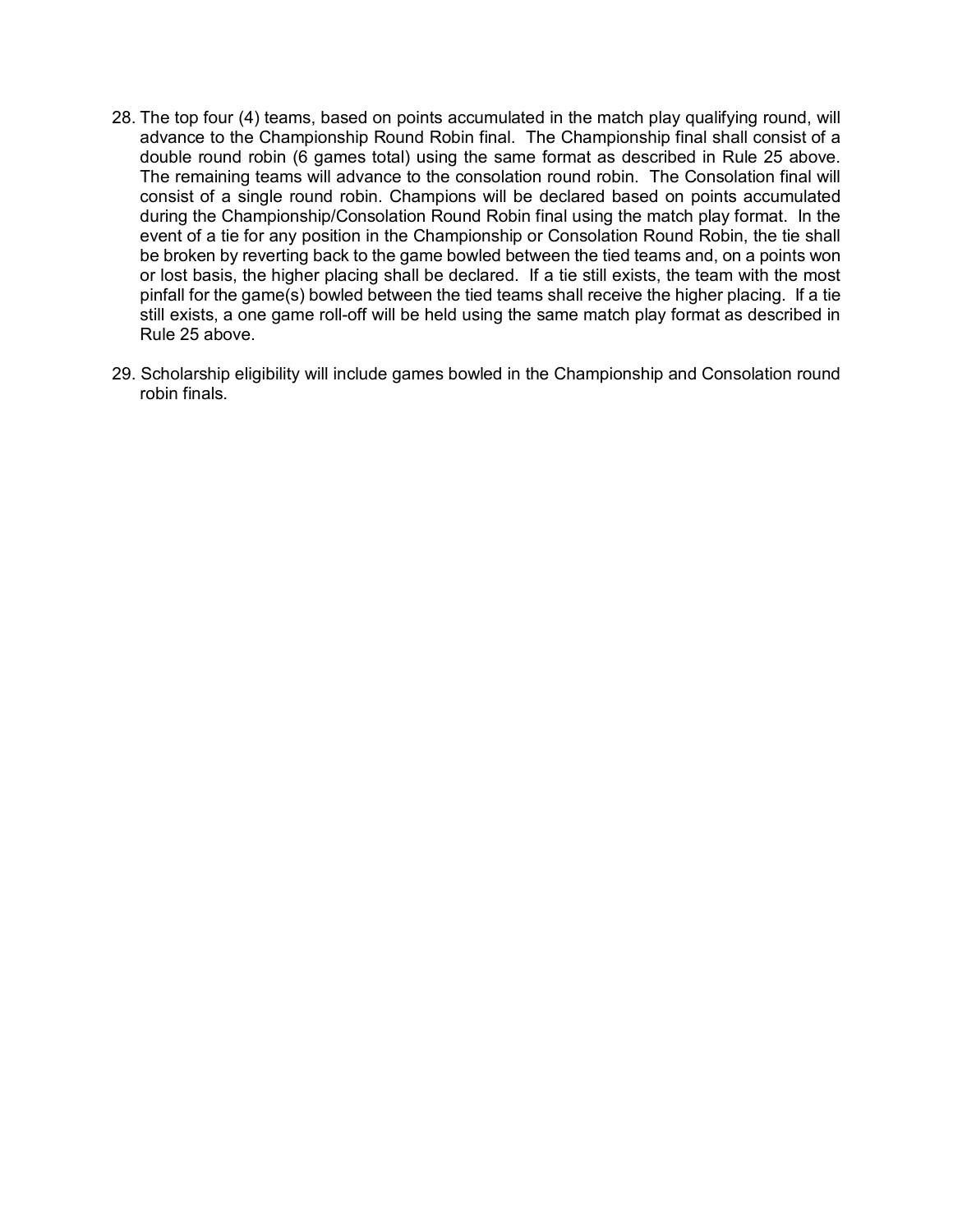- 28. The top four (4) teams, based on points accumulated in the match play qualifying round, will advance to the Championship Round Robin final. The Championship final shall consist of a double round robin (6 games total) using the same format as described in Rule 25 above. The remaining teams will advance to the consolation round robin. The Consolation final will consist of a single round robin. Champions will be declared based on points accumulated during the Championship/Consolation Round Robin final using the match play format. In the event of a tie for any position in the Championship or Consolation Round Robin, the tie shall be broken by reverting back to the game bowled between the tied teams and, on a points won or lost basis, the higher placing shall be declared. If a tie still exists, the team with the most pinfall for the game(s) bowled between the tied teams shall receive the higher placing. If a tie still exists, a one game roll-off will be held using the same match play format as described in Rule 25 above.
- 29. Scholarship eligibility will include games bowled in the Championship and Consolation round robin finals.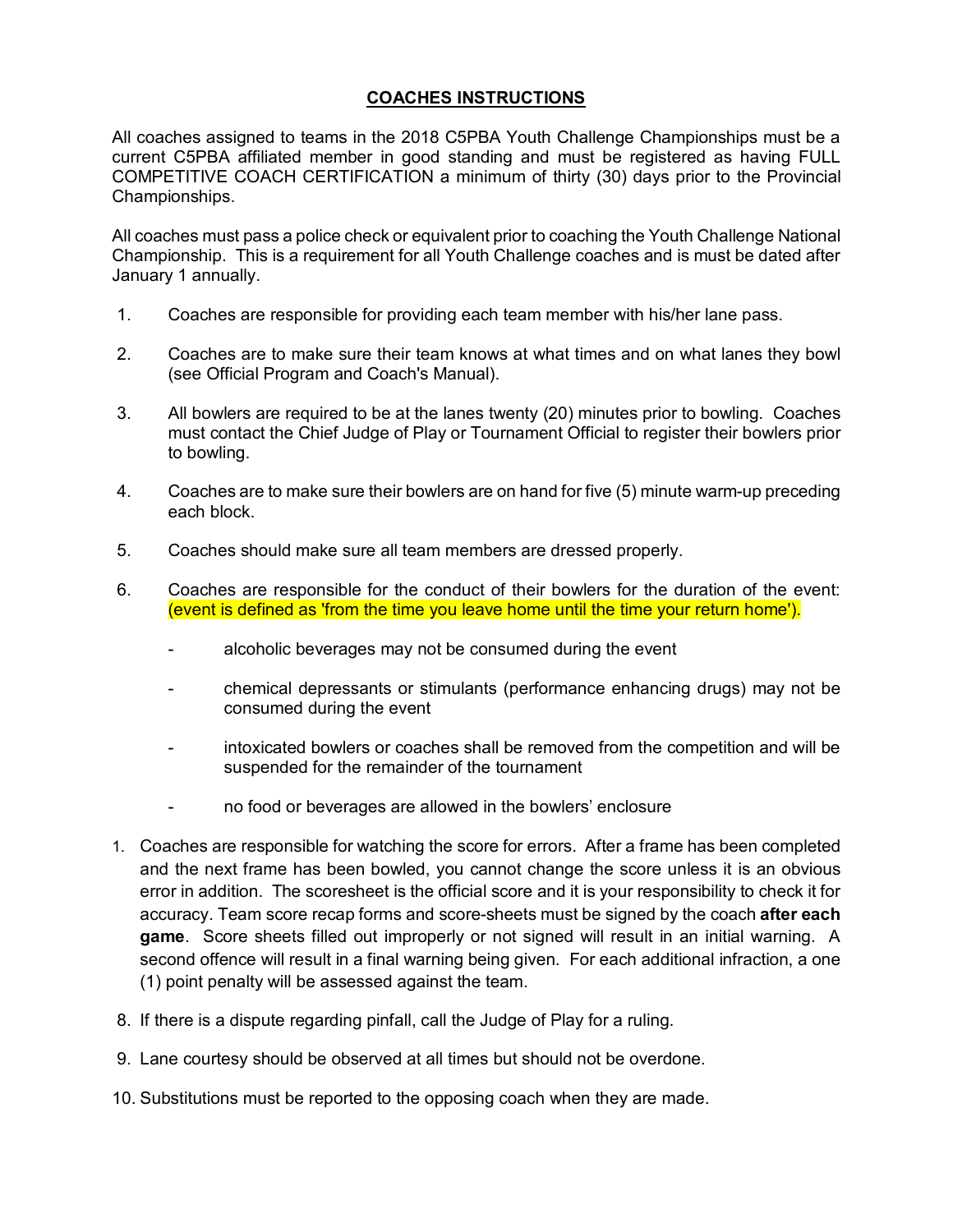#### **COACHES INSTRUCTIONS**

All coaches assigned to teams in the 2018 C5PBA Youth Challenge Championships must be a current C5PBA affiliated member in good standing and must be registered as having FULL COMPETITIVE COACH CERTIFICATION a minimum of thirty (30) days prior to the Provincial Championships.

All coaches must pass a police check or equivalent prior to coaching the Youth Challenge National Championship. This is a requirement for all Youth Challenge coaches and is must be dated after January 1 annually.

- 1. Coaches are responsible for providing each team member with his/her lane pass.
- 2. Coaches are to make sure their team knows at what times and on what lanes they bowl (see Official Program and Coach's Manual).
- 3. All bowlers are required to be at the lanes twenty (20) minutes prior to bowling. Coaches must contact the Chief Judge of Play or Tournament Official to register their bowlers prior to bowling.
- 4. Coaches are to make sure their bowlers are on hand for five (5) minute warm-up preceding each block.
- 5. Coaches should make sure all team members are dressed properly.
- 6. Coaches are responsible for the conduct of their bowlers for the duration of the event: (event is defined as 'from the time you leave home until the time your return home').
	- alcoholic beverages may not be consumed during the event
	- chemical depressants or stimulants (performance enhancing drugs) may not be consumed during the event
	- intoxicated bowlers or coaches shall be removed from the competition and will be suspended for the remainder of the tournament
	- no food or beverages are allowed in the bowlers' enclosure
- 1. Coaches are responsible for watching the score for errors. After a frame has been completed and the next frame has been bowled, you cannot change the score unless it is an obvious error in addition. The scoresheet is the official score and it is your responsibility to check it for accuracy. Team score recap forms and score-sheets must be signed by the coach **after each game**. Score sheets filled out improperly or not signed will result in an initial warning. A second offence will result in a final warning being given. For each additional infraction, a one (1) point penalty will be assessed against the team.
- 8. If there is a dispute regarding pinfall, call the Judge of Play for a ruling.
- 9. Lane courtesy should be observed at all times but should not be overdone.
- 10. Substitutions must be reported to the opposing coach when they are made.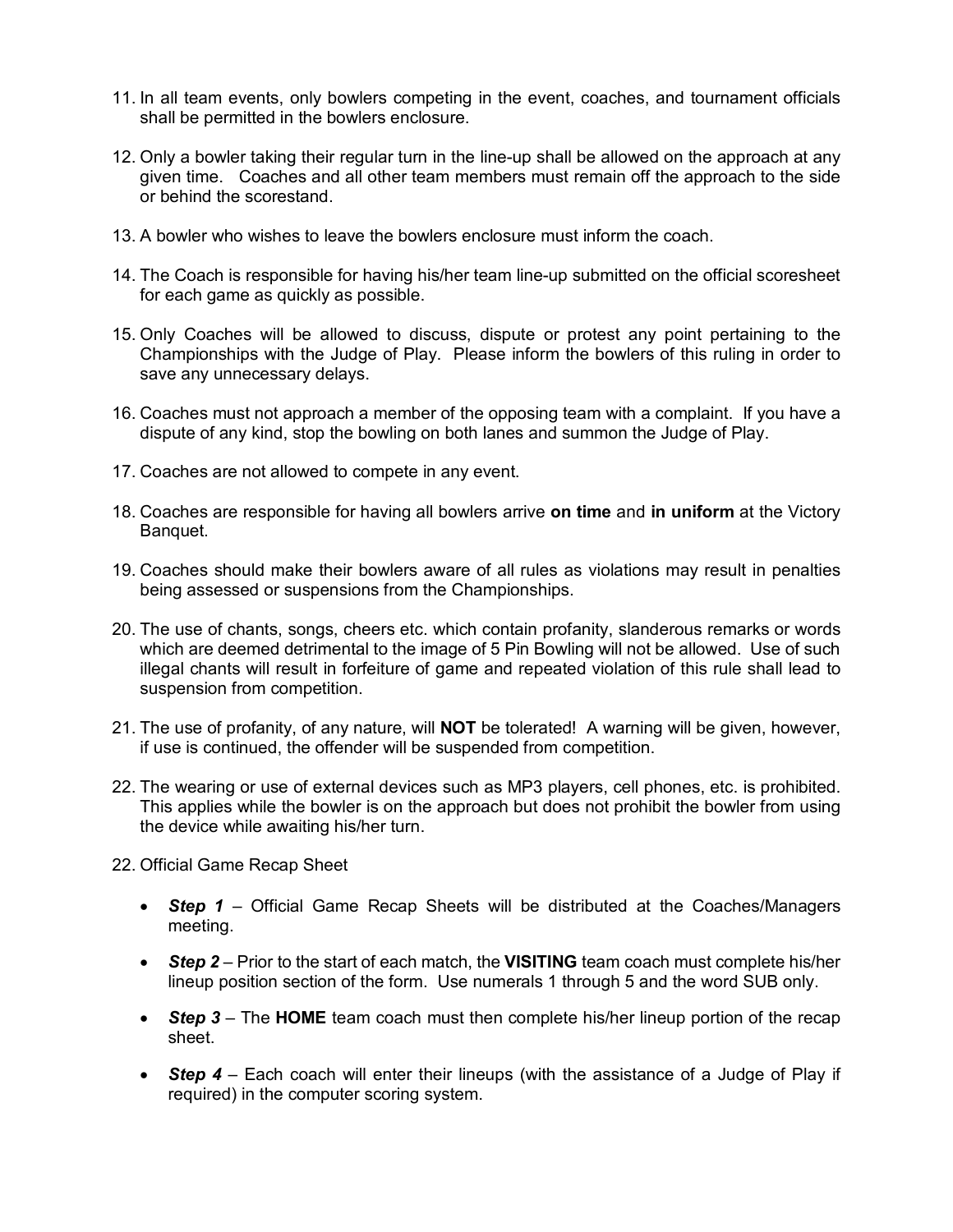- 11. In all team events, only bowlers competing in the event, coaches, and tournament officials shall be permitted in the bowlers enclosure.
- 12. Only a bowler taking their regular turn in the line-up shall be allowed on the approach at any given time. Coaches and all other team members must remain off the approach to the side or behind the scorestand.
- 13. A bowler who wishes to leave the bowlers enclosure must inform the coach.
- 14. The Coach is responsible for having his/her team line-up submitted on the official scoresheet for each game as quickly as possible.
- 15. Only Coaches will be allowed to discuss, dispute or protest any point pertaining to the Championships with the Judge of Play. Please inform the bowlers of this ruling in order to save any unnecessary delays.
- 16. Coaches must not approach a member of the opposing team with a complaint. If you have a dispute of any kind, stop the bowling on both lanes and summon the Judge of Play.
- 17. Coaches are not allowed to compete in any event.
- 18. Coaches are responsible for having all bowlers arrive **on time** and **in uniform** at the Victory Banquet.
- 19. Coaches should make their bowlers aware of all rules as violations may result in penalties being assessed or suspensions from the Championships.
- 20. The use of chants, songs, cheers etc. which contain profanity, slanderous remarks or words which are deemed detrimental to the image of 5 Pin Bowling will not be allowed. Use of such illegal chants will result in forfeiture of game and repeated violation of this rule shall lead to suspension from competition.
- 21. The use of profanity, of any nature, will **NOT** be tolerated! A warning will be given, however, if use is continued, the offender will be suspended from competition.
- 22. The wearing or use of external devices such as MP3 players, cell phones, etc. is prohibited. This applies while the bowler is on the approach but does not prohibit the bowler from using the device while awaiting his/her turn.
- 22. Official Game Recap Sheet
	- *Step 1* Official Game Recap Sheets will be distributed at the Coaches/Managers meeting.
	- *Step 2* Prior to the start of each match, the **VISITING** team coach must complete his/her lineup position section of the form. Use numerals 1 through 5 and the word SUB only.
	- *Step 3* The **HOME** team coach must then complete his/her lineup portion of the recap sheet.
	- *Step 4* Each coach will enter their lineups (with the assistance of a Judge of Play if required) in the computer scoring system.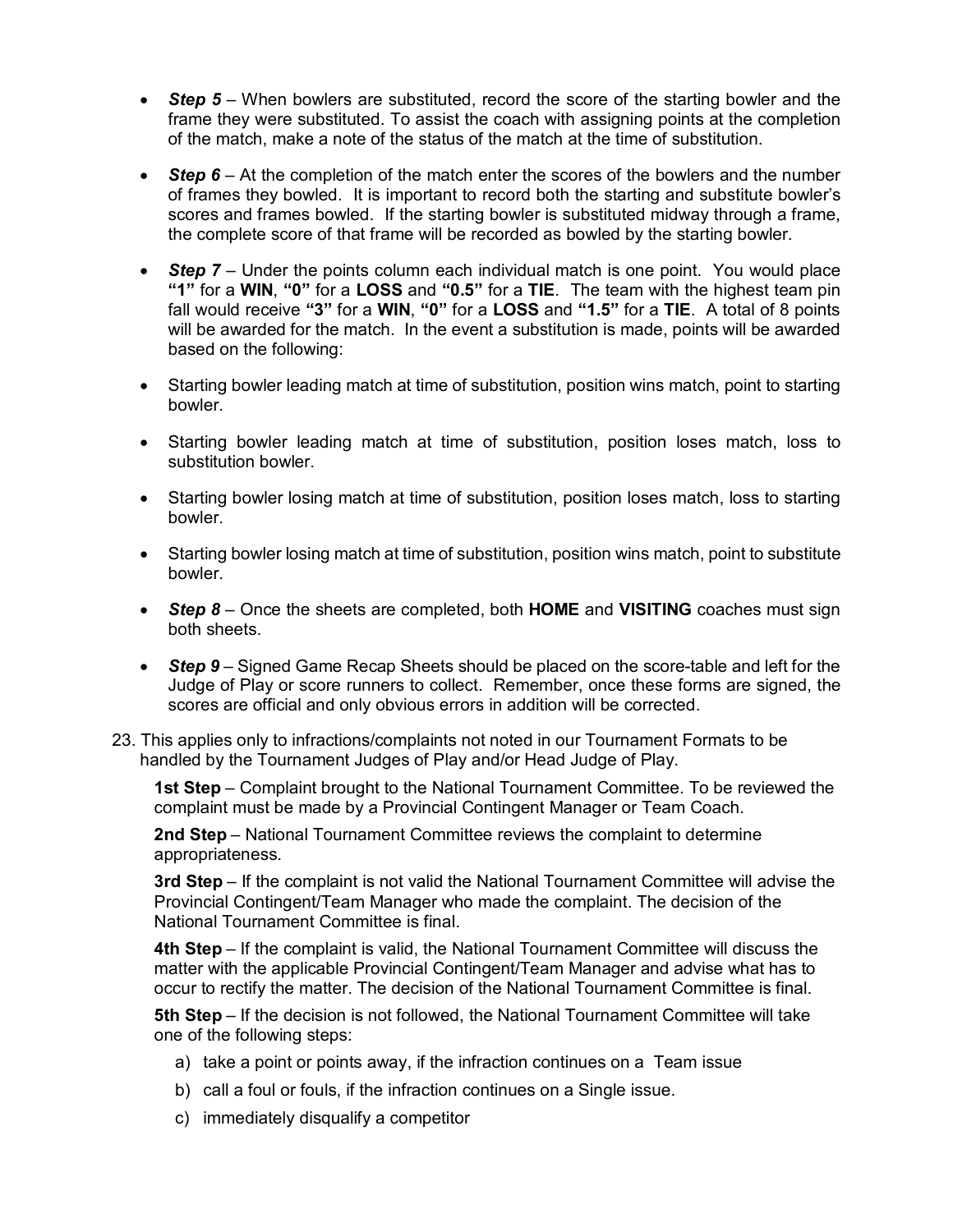- *Step 5* When bowlers are substituted, record the score of the starting bowler and the frame they were substituted. To assist the coach with assigning points at the completion of the match, make a note of the status of the match at the time of substitution.
- **Step 6** At the completion of the match enter the scores of the bowlers and the number of frames they bowled. It is important to record both the starting and substitute bowler's scores and frames bowled. If the starting bowler is substituted midway through a frame, the complete score of that frame will be recorded as bowled by the starting bowler.
- *Step 7* Under the points column each individual match is one point. You would place **"1"** for a **WIN**, **"0"** for a **LOSS** and **"0.5"** for a **TIE**. The team with the highest team pin fall would receive **"3"** for a **WIN**, **"0"** for a **LOSS** and **"1.5"** for a **TIE**. A total of 8 points will be awarded for the match. In the event a substitution is made, points will be awarded based on the following:
- Starting bowler leading match at time of substitution, position wins match, point to starting bowler.
- Starting bowler leading match at time of substitution, position loses match, loss to substitution bowler.
- Starting bowler losing match at time of substitution, position loses match, loss to starting bowler.
- Starting bowler losing match at time of substitution, position wins match, point to substitute bowler.
- *Step 8* Once the sheets are completed, both **HOME** and **VISITING** coaches must sign both sheets.
- *Step 9* Signed Game Recap Sheets should be placed on the score-table and left for the Judge of Play or score runners to collect. Remember, once these forms are signed, the scores are official and only obvious errors in addition will be corrected.
- 23. This applies only to infractions/complaints not noted in our Tournament Formats to be handled by the Tournament Judges of Play and/or Head Judge of Play.

**1st Step** – Complaint brought to the National Tournament Committee. To be reviewed the complaint must be made by a Provincial Contingent Manager or Team Coach.

**2nd Step** – National Tournament Committee reviews the complaint to determine appropriateness.

**3rd Step** – If the complaint is not valid the National Tournament Committee will advise the Provincial Contingent/Team Manager who made the complaint. The decision of the National Tournament Committee is final.

**4th Step** – If the complaint is valid, the National Tournament Committee will discuss the matter with the applicable Provincial Contingent/Team Manager and advise what has to occur to rectify the matter. The decision of the National Tournament Committee is final.

**5th Step** – If the decision is not followed, the National Tournament Committee will take one of the following steps:

- a) take a point or points away, if the infraction continues on a Team issue
- b) call a foul or fouls, if the infraction continues on a Single issue.
- c) immediately disqualify a competitor